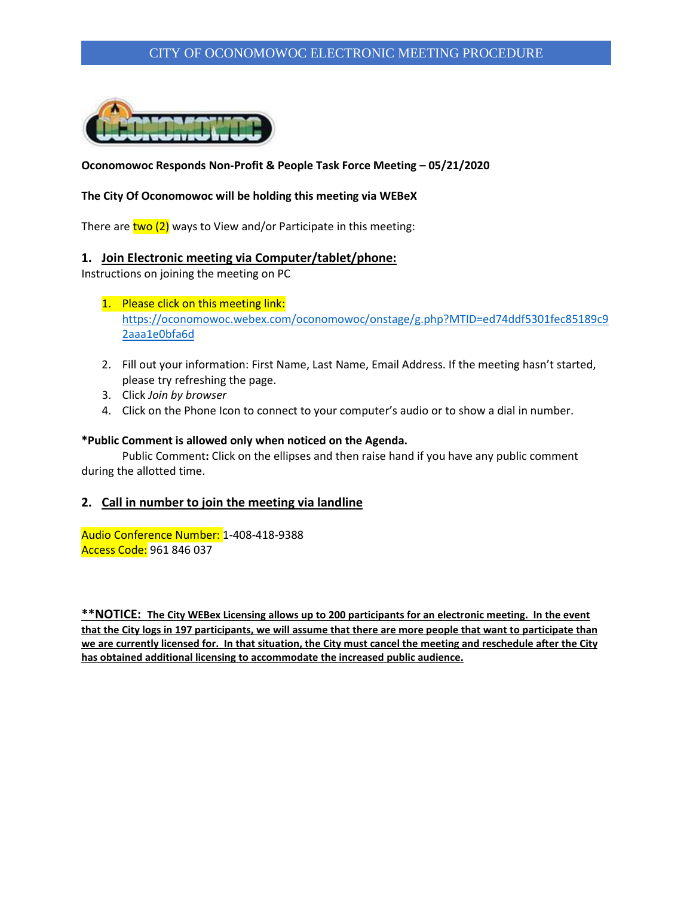### CITY OF OCONOMOWOC ELECTRONIC MEETING PROCEDURE



### **Oconomowoc Responds Non-Profit & People Task Force Meeting – 05/21/2020**

#### **The City Of Oconomowoc will be holding this meeting via WEBeX**

There are  $two$  (2) ways to View and/or Participate in this meeting:

#### **1. Join Electronic meeting via Computer/tablet/phone:**

Instructions on joining the meeting on PC

- 1. Please click on this meeting link: [https://oconomowoc.webex.com/oconomowoc/onstage/g.php?MTID=ed74ddf5301fec85189c9](https://oconomowoc.webex.com/oconomowoc/onstage/g.php?MTID=ed74ddf5301fec85189c92aaa1e0bfa6d) [2aaa1e0bfa6d](https://oconomowoc.webex.com/oconomowoc/onstage/g.php?MTID=ed74ddf5301fec85189c92aaa1e0bfa6d)
- 2. Fill out your information: First Name, Last Name, Email Address. If the meeting hasn't started, please try refreshing the page.
- 3. Click *Join by browser*
- 4. Click on the Phone Icon to connect to your computer's audio or to show a dial in number.

#### **\*Public Comment is allowed only when noticed on the Agenda.**

Public Comment**:** Click on the ellipses and then raise hand if you have any public comment during the allotted time.

#### **2. Call in number to join the meeting via landline**

Audio Conference Number: 1-408-418-9388 Access Code: 961 846 037

**\*\*NOTICE: The City WEBex Licensing allows up to 200 participants for an electronic meeting. In the event that the City logs in 197 participants, we will assume that there are more people that want to participate than we are currently licensed for. In that situation, the City must cancel the meeting and reschedule after the City has obtained additional licensing to accommodate the increased public audience.**